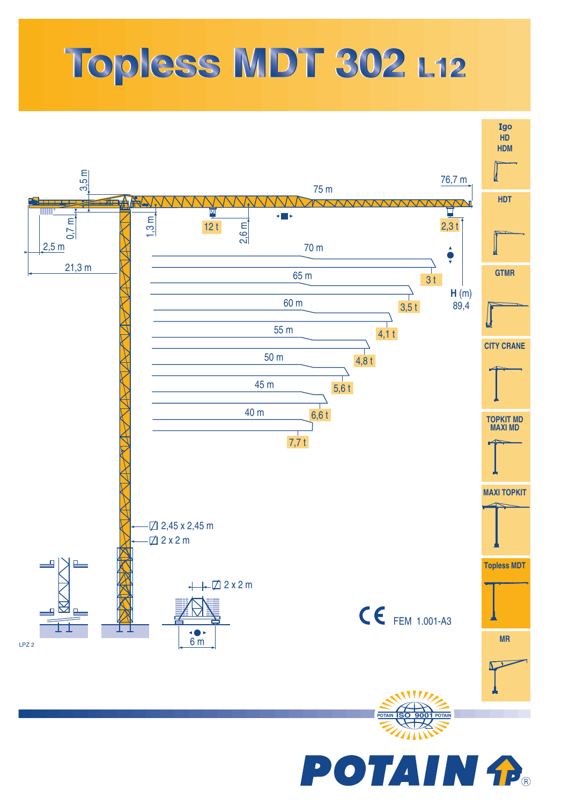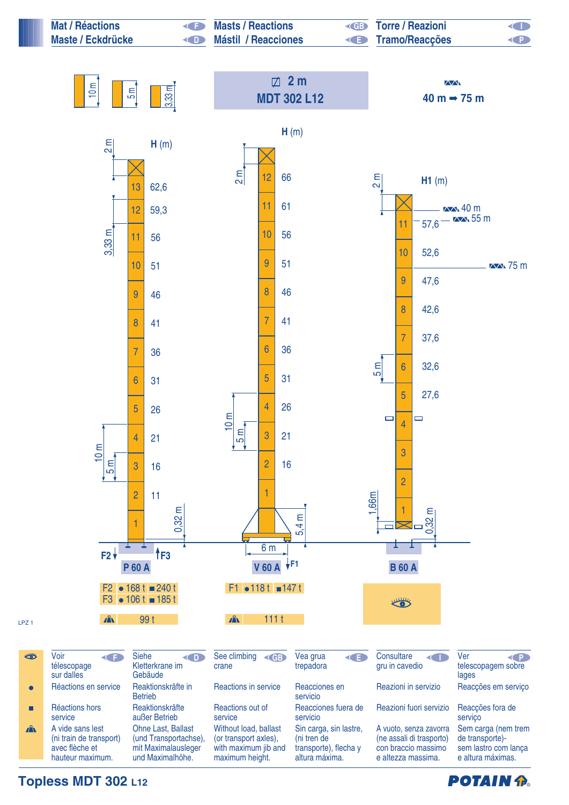

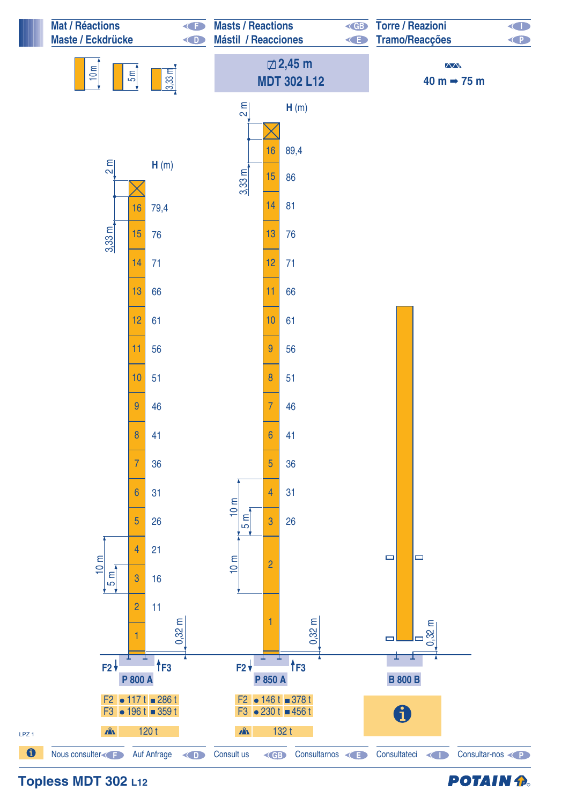

**Topless MDT 302 L12**

**POTAIN P.**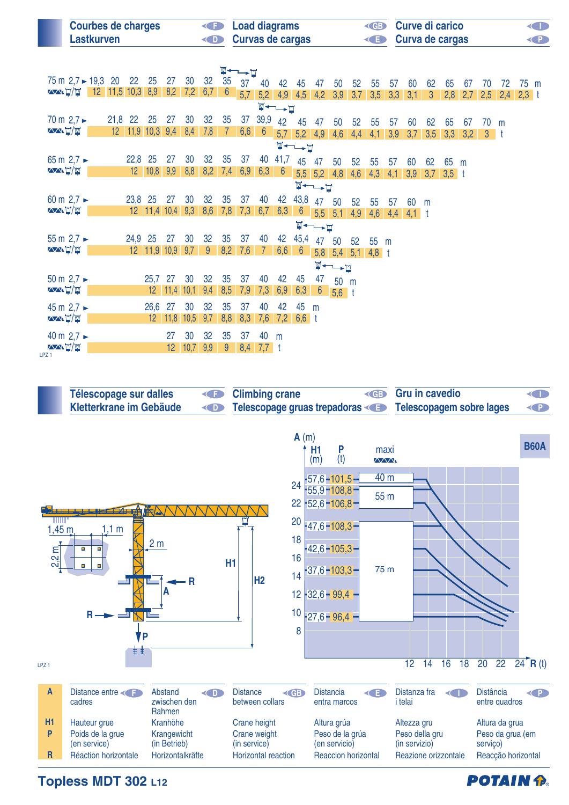| <b>Courbes de charges</b><br>Lastkurven | <b>Example 2</b> Load diagrams<br><b>Curvas de cargas</b> | <b>ED</b> Curve di carico<br><b>E</b> Curva de cargas | O<br><b>CP</b> |
|-----------------------------------------|-----------------------------------------------------------|-------------------------------------------------------|----------------|
|                                         |                                                           |                                                       |                |

 $\mathbf{A}$ 

| <b>W←→D</b>                                        |  |                 |                 |                |                 |      |     |                |     |                 |                 |                 |                                                    |                       |     |     |     |             |              |         |     |       |     |         |  |
|----------------------------------------------------|--|-----------------|-----------------|----------------|-----------------|------|-----|----------------|-----|-----------------|-----------------|-----------------|----------------------------------------------------|-----------------------|-----|-----|-----|-------------|--------------|---------|-----|-------|-----|---------|--|
| 75 m $2.7 \triangleright 19.3$                     |  | 20              | 22              | 25             | 27              | 30   | 32  | 35             | 37  | 40              | 42              | 45              | 47                                                 | 50                    | 52  | 55  | 57  | 60          | 62           | 65      | 67  | 70    | 72  | 75 m    |  |
| <b>XXXIVW</b>                                      |  |                 | $12$ 11,5 10,3  | 8,9            | 8,2             | 7,2  | 6,7 | $6^{\circ}$    | 5,7 | 5,2             |                 | $4,9$ 4,5 4,2   |                                                    | 3,9                   | 3,7 | 3,5 | 3,3 | 3,1         | $\mathbf{3}$ | 2,8     | 2,7 | 2,5   | 2,4 | $2,3$ t |  |
|                                                    |  |                 |                 |                |                 |      |     |                |     |                 |                 |                 |                                                    |                       |     |     |     |             |              |         |     |       |     |         |  |
| $\blacksquare \leftarrow \rightarrow \blacksquare$ |  |                 |                 |                |                 |      |     |                |     |                 |                 |                 |                                                    |                       |     |     |     |             |              |         |     |       |     |         |  |
| 70 m $2,7 \blacktriangleright$                     |  | 21,8            | 22              | 25             | 27              | 30   | 32  | 35             | 37  | 39,9            | 42              | 45              | 47                                                 | 50                    | 52  | 55  | 57  | 60          | 62           | 65      | 67  | 70    | m   |         |  |
| <b>AAT</b>                                         |  | 12 <sup>2</sup> |                 | $11,9$ 10,3    | 9,4             | 8,4  | 7,8 | $\overline{7}$ | 6,6 | $6\phantom{1}6$ | 5,7             |                 | $5,2$ 4,9                                          | 4,6                   | 4,4 | 4,1 | 3,9 | 3,7         | 3,5          | 3,3     | 3,2 | $3-1$ |     |         |  |
| $\Psi \rightarrow \Psi$                            |  |                 |                 |                |                 |      |     |                |     |                 |                 |                 |                                                    |                       |     |     |     |             |              |         |     |       |     |         |  |
| 65 m $2,7$ $\triangleright$                        |  |                 | 22,8            | 25             | 27              | 30   | 32  | 35             | 37  | 40              | 41,7            |                 |                                                    |                       |     |     |     |             |              |         |     |       |     |         |  |
| <b>AANT/W</b>                                      |  |                 | 12 <sup>2</sup> | 10,8           | 9,9             | 8,8  | 8,2 |                |     |                 |                 | 45              | 47                                                 | 50                    | 52  | 55  | 57  | 60          | 62           | 65      | m   |       |     |         |  |
|                                                    |  |                 |                 |                |                 |      |     | 7,4            | 6,9 | 6,3             | $6\overline{6}$ |                 |                                                    | $5,5$ $5,2$ 4,8       | 4,6 | 4,3 | 4,1 | 3,9         | 3,7          | $3,5$ t |     |       |     |         |  |
|                                                    |  |                 |                 |                |                 |      |     |                |     |                 |                 |                 | $\blacksquare \leftarrow \rightarrow \blacksquare$ |                       |     |     |     |             |              |         |     |       |     |         |  |
| 60 m $2.7 \triangleright$                          |  |                 | 23,8 25         |                | 27              | 30   | 32  | 35             | 37  | 40              | 42              | 43,8            | 47                                                 | 50                    | 52  | 55  | 57  | 60          | m            |         |     |       |     |         |  |
| <b>AAH</b>                                         |  |                 |                 | $12$ 11,4 10,4 |                 | 9,3  | 8,6 | 7,8            | 7,3 | 6,7             | 6,3             | $6\overline{6}$ |                                                    | $5,5$ $5,1$           | 4,9 | 4,6 |     | $4,4$ 4,1 t |              |         |     |       |     |         |  |
|                                                    |  |                 |                 |                |                 |      |     |                |     |                 |                 |                 |                                                    |                       |     |     |     |             |              |         |     |       |     |         |  |
|                                                    |  |                 |                 |                |                 |      |     |                |     |                 |                 |                 | $\blacksquare \rightarrow \blacksquare$            |                       |     |     |     |             |              |         |     |       |     |         |  |
| 55 m $2.7 \rightarrow$                             |  |                 | 24,9            | 25             | 27              | 30   | 32  | 35             | 37  | 40              | 42              | 45,4            | 47                                                 | 50                    | 52  | 55  | m   |             |              |         |     |       |     |         |  |
| <b>AANT/W</b>                                      |  |                 |                 | $12$ 11,9 10,9 |                 | 9,7  | 9   | 8,2            | 7,6 | $\overline{7}$  | 6,6             | $6\overline{6}$ |                                                    | 5,8 5,4 5,1 4,8 t     |     |     |     |             |              |         |     |       |     |         |  |
|                                                    |  |                 |                 |                |                 |      |     |                |     |                 |                 |                 |                                                    | $\P \rightarrow \Box$ |     |     |     |             |              |         |     |       |     |         |  |
|                                                    |  |                 |                 |                |                 |      |     |                |     |                 |                 |                 |                                                    |                       |     |     |     |             |              |         |     |       |     |         |  |
| 50 m $2,7 -$                                       |  |                 |                 | 25,7 27        |                 | 30   | 32  | 35             | 37  | 40              | 42              | 45              | 47                                                 | 50 m                  |     |     |     |             |              |         |     |       |     |         |  |
| <b>AAT/W</b>                                       |  |                 |                 |                | $12 \quad 11,4$ | 10,1 | 9,4 | 8,5            | 7,9 | 7,3             | 6,9             | 6,3             | 6                                                  | $5,6$ t               |     |     |     |             |              |         |     |       |     |         |  |
| 45 m $2.7 \rightarrow$                             |  |                 |                 | 26,6 27        |                 | 30   | 32  | 35             | 37  | 40              | 42              | 45              | m                                                  |                       |     |     |     |             |              |         |     |       |     |         |  |
| <b>AAT</b>                                         |  |                 |                 |                | $12 \quad 11,8$ | 10,5 | 9,7 | 8,8            | 8,3 | 7,6             | 7,2             | $6,6$ t         |                                                    |                       |     |     |     |             |              |         |     |       |     |         |  |
|                                                    |  |                 |                 |                |                 |      |     |                |     |                 |                 |                 |                                                    |                       |     |     |     |             |              |         |     |       |     |         |  |
| 40 m $2,7 -$                                       |  |                 |                 |                | 27              | 30   | 32  | 35             | 37  | 40              | m               |                 |                                                    |                       |     |     |     |             |              |         |     |       |     |         |  |
| <b>AAT/W</b>                                       |  |                 |                 |                | 12              | 10,7 | 9,9 | 9              | 8,4 | $7,7$ t         |                 |                 |                                                    |                       |     |     |     |             |              |         |     |       |     |         |  |
| LPZ <sub>1</sub>                                   |  |                 |                 |                |                 |      |     |                |     |                 |                 |                 |                                                    |                       |     |     |     |             |              |         |     |       |     |         |  |



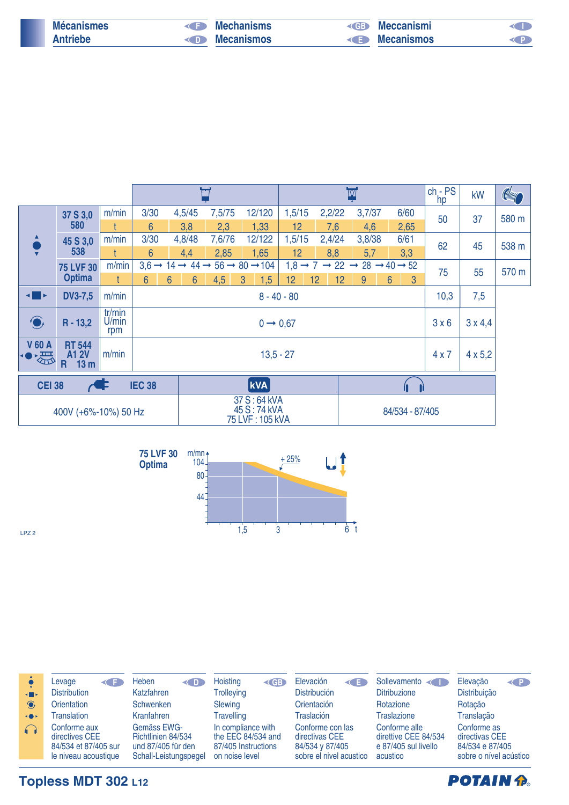| <b>Mécanismes</b> | <b>CED</b> | <b>Mechanisms</b> | $\left($ GB $\right)$ | Meccanismi |  |
|-------------------|------------|-------------------|-----------------------|------------|--|
| <b>Antriebe</b>   | $\bigcap$  | <b>Mecanismos</b> | <b>KED</b>            | Mecanismos |  |
|                   |            |                   |                       |            |  |

|                                |                                                      |                        |                |                |                 | Ħ                                                                  |                                                                                   |        |    |        | M                                                                               |    |                     | $ch - PS$<br>hp | kW             | <b>Compared</b> |
|--------------------------------|------------------------------------------------------|------------------------|----------------|----------------|-----------------|--------------------------------------------------------------------|-----------------------------------------------------------------------------------|--------|----|--------|---------------------------------------------------------------------------------|----|---------------------|-----------------|----------------|-----------------|
|                                | 37 S 3,0                                             | m/min                  | 3/30           |                | 4,5/45          | 7,5/75                                                             | 12/120                                                                            | 1,5/15 |    | 2,2/22 | 3,7/37                                                                          |    | 6/60                | 50              | 37             | 580 m           |
|                                | 580                                                  |                        | $6\phantom{1}$ |                | 3,8             | 2,3                                                                | 1,33                                                                              | 12     |    | 7,6    | 4,6                                                                             |    | 2,65                |                 |                |                 |
|                                | 45 S 3,0                                             | m/min                  | 3/30           |                | 4,8/48          | 7,6/76                                                             | 12/122                                                                            | 1,5/15 |    | 2,4/24 | 3,8/38                                                                          |    | 6/61                | 62              | 45             | 538 m           |
|                                | 538                                                  |                        | $6\phantom{1}$ |                | 4,4             | 2,85                                                               | 1,65                                                                              | 12     |    | 8,8    | 5,7                                                                             |    | 3,3                 |                 |                |                 |
|                                | <b>75 LVF 30</b>                                     | m/min                  |                |                |                 |                                                                    | $3,6 \rightarrow 14 \rightarrow 44 \rightarrow 56 \rightarrow 80 \rightarrow 104$ |        |    |        | $1,8 \rightarrow 7 \rightarrow 22 \rightarrow 28 \rightarrow 40 \rightarrow 52$ |    |                     | 75              | 55             | 570 m           |
|                                | <b>Optima</b>                                        |                        | $6\phantom{a}$ | $6\phantom{1}$ | $6\overline{6}$ | 4,5                                                                | 1,5<br>$\mathbf{3}$                                                               | 12     | 12 | 12     | 9                                                                               |    | $6\phantom{1}$<br>3 |                 |                |                 |
| ◀▉▸                            | <b>DV3-7,5</b>                                       | m/min                  |                | $8 - 40 - 80$  |                 |                                                                    |                                                                                   |        |    |        |                                                                                 |    | 10,3                | 7,5             |                |                 |
| $\bigodot$                     | $R - 13,2$                                           | tr/min<br>U/min<br>rpm |                |                |                 |                                                                    | $0 \rightarrow 0.67$                                                              |        |    |        |                                                                                 |    |                     |                 | $3 \times 4.4$ |                 |
| <b>V 60 A</b><br>备<br>倒        | <b>RT 544</b><br><b>A12V</b><br>13 <sub>m</sub><br>R | m/min                  |                | $13,5 - 27$    |                 |                                                                    |                                                                                   |        |    |        |                                                                                 |    |                     | 4x7             | $4 \times 5,2$ |                 |
| <b>CEI 38</b><br><b>IEC 38</b> |                                                      |                        |                |                |                 | <b>kVA</b>                                                         |                                                                                   |        |    |        |                                                                                 | 11 |                     |                 |                |                 |
| 400V (+6%-10%) 50 Hz           |                                                      |                        |                |                |                 | 37 S: 64 kVA<br>45 S: 74 kVA<br>84/534 - 87/405<br>75 LVF: 105 kVA |                                                                                   |        |    |        |                                                                                 |    |                     |                 |                |                 |



LPZ 2

| <b>KIN</b><br>$\bigodot$ | Levage<br><b>Distribution</b><br><b>Orientation</b>                            | Heben<br>$\left( \blacksquare$<br>Katzfahren<br>Schwenken                        | Hoisting<br>$\le$ GB $\ge$<br><b>Trolleying</b><br>Slewing                        | Elevación<br>≺∎≡<br><b>Distribución</b><br><b>Orientación</b>                    | Sollevamento<br><b>Ditribuzione</b><br>Rotazione                          | Elevação<br>$\left\langle \right $<br>Distribuição<br>Rotação              |
|--------------------------|--------------------------------------------------------------------------------|----------------------------------------------------------------------------------|-----------------------------------------------------------------------------------|----------------------------------------------------------------------------------|---------------------------------------------------------------------------|----------------------------------------------------------------------------|
| $\bullet$                | <b>Translation</b>                                                             | Kranfahren                                                                       | <b>Travelling</b>                                                                 | <b>Traslación</b>                                                                | <b>Traslazione</b>                                                        | Translação                                                                 |
| $\bigcap$                | Conforme aux<br>directives CEE<br>84/534 et 87/405 sur<br>le niveau acoustique | Gemäss EWG-<br>Richtlinien 84/534<br>und 87/405 für den<br>Schall-Leistungspegel | In compliance with<br>the EEC 84/534 and<br>87/405 Instructions<br>on noise level | Conforme con las<br>directivas CEE<br>84/534 v 87/405<br>sobre el nivel acustico | Conforme alle<br>direttive CEE 84/534<br>e 87/405 sul livello<br>acustico | Conforme as<br>directivas CEE<br>84/534 e 87/405<br>sobre o nível acústico |